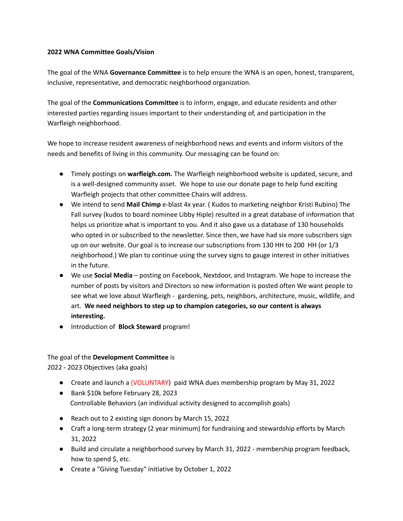#### **2022 WNA Committee Goals/Vision**

The goal of the WNA **Governance Committee** is to help ensure the WNA is an open, honest, transparent, inclusive, representative, and democratic neighborhood organization.

The goal of the **Communications Committee** is to inform, engage, and educate residents and other interested parties regarding issues important to their understanding of, and participation in the Warfleigh neighborhood.

We hope to increase resident awareness of neighborhood news and events and inform visitors of the needs and benefits of living in this community. Our messaging can be found on:

- Timely postings on **warfleigh.com.** The Warfleigh neighborhood website is updated, secure, and is a well-designed community asset. We hope to use our donate page to help fund exciting Warfleigh projects that other committee Chairs will address.
- We intend to send **Mail Chimp** e-blast 4x year. ( Kudos to marketing neighbor Kristi Rubino) The Fall survey (kudos to board nominee Libby Hiple) resulted in a great database of information that helps us prioritize what is important to you. And it also gave us a database of 130 households who opted in or subscribed to the newsletter. Since then, we have had six more subscribers sign up on our website. Our goal is to increase our subscriptions from 130 HH to 200 HH (or 1/3 neighborhood.) We plan to continue using the survey signs to gauge interest in other initiatives in the future.
- We use **Social Media** posting on Facebook, Nextdoor, and Instagram. We hope to increase the number of posts by visitors and Directors so new information is posted often We want people to see what we love about Warfleigh - gardening, pets, neighbors, architecture, music, wildlife, and art. **We need neighbors to step up to champion categories, so our content is always interesting.**
- Introduction of **Block Steward** program!

## The goal of the **Development Committee** is

2022 - 2023 Objectives (aka goals)

- Create and launch a (VOLUNTARY) paid WNA dues membership program by May 31, 2022
- Bank \$10k before February 28, 2023 Controllable Behaviors (an individual activity designed to accomplish goals)
- Reach out to 2 existing sign donors by March 15, 2022
- Craft a long-term strategy (2 year minimum) for fundraising and stewardship efforts by March 31, 2022
- Build and circulate a neighborhood survey by March 31, 2022 membership program feedback, how to spend \$, etc.
- Create a "Giving Tuesday" initiative by October 1, 2022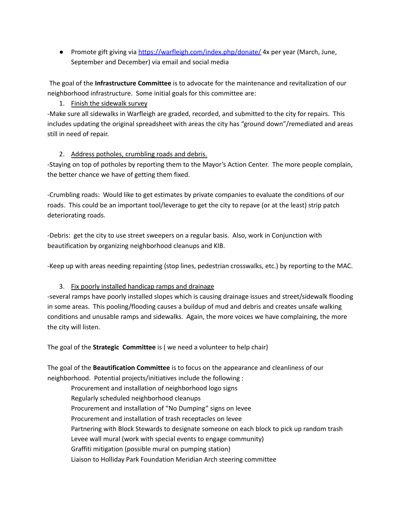● Promote gift giving via <https://warfleigh.com/index.php/donate/> 4x per year (March, June, September and December) via email and social media

The goal of the **Infrastructure Committee** is to advocate for the maintenance and revitalization of our neighborhood infrastructure. Some initial goals for this committee are:

# 1. Finish the sidewalk survey

-Make sure all sidewalks in Warfleigh are graded, recorded, and submitted to the city for repairs. This includes updating the original spreadsheet with areas the city has "ground down"/remediated and areas still in need of repair.

## 2. Address potholes, crumbling roads and debris.

-Staying on top of potholes by reporting them to the Mayor's Action Center. The more people complain, the better chance we have of getting them fixed.

-Crumbling roads: Would like to get estimates by private companies to evaluate the conditions of our roads. This could be an important tool/leverage to get the city to repave (or at the least) strip patch deteriorating roads.

-Debris: get the city to use street sweepers on a regular basis. Also, work in Conjunction with beautification by organizing neighborhood cleanups and KIB.

-Keep up with areas needing repainting (stop lines, pedestrian crosswalks, etc.) by reporting to the MAC.

# 3. Fix poorly installed handicap ramps and drainage

-several ramps have poorly installed slopes which is causing drainage issues and street/sidewalk flooding in some areas. This pooling/flooding causes a buildup of mud and debris and creates unsafe walking conditions and unusable ramps and sidewalks. Again, the more voices we have complaining, the more the city will listen.

The goal of the **Strategic Committee** is ( we need a volunteer to help chair)

The goal of the **Beautification Committee** is to focus on the appearance and cleanliness of our neighborhood. Potential projects/initiatives include the following :

Procurement and installation of neighborhood logo signs Regularly scheduled neighborhood cleanups Procurement and installation of "No Dumping" signs on levee Procurement and installation of trash receptacles on levee Partnering with Block Stewards to designate someone on each block to pick up random trash Levee wall mural (work with special events to engage community) Graffiti mitigation (possible mural on pumping station) Liaison to Holliday Park Foundation Meridian Arch steering committee